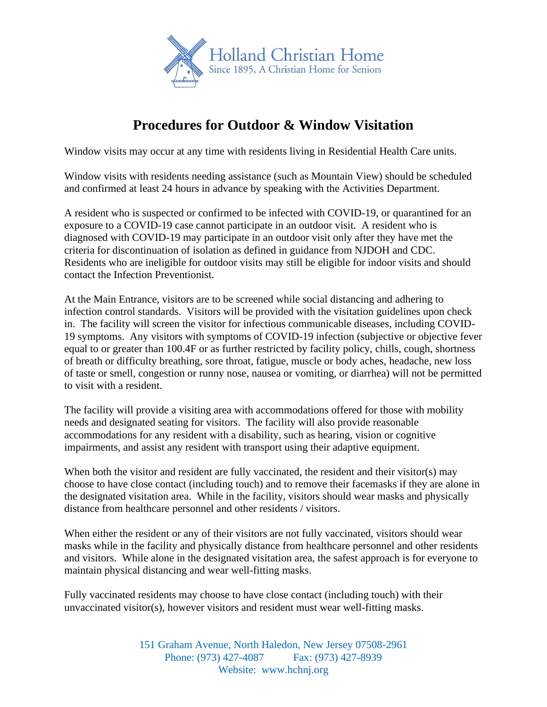

## **Procedures for Outdoor & Window Visitation**

Window visits may occur at any time with residents living in Residential Health Care units.

Window visits with residents needing assistance (such as Mountain View) should be scheduled and confirmed at least 24 hours in advance by speaking with the Activities Department.

A resident who is suspected or confirmed to be infected with COVID-19, or quarantined for an exposure to a COVID-19 case cannot participate in an outdoor visit. A resident who is diagnosed with COVID-19 may participate in an outdoor visit only after they have met the criteria for discontinuation of isolation as defined in guidance from NJDOH and CDC. Residents who are ineligible for outdoor visits may still be eligible for indoor visits and should contact the Infection Preventionist.

At the Main Entrance, visitors are to be screened while social distancing and adhering to infection control standards. Visitors will be provided with the visitation guidelines upon check in. The facility will screen the visitor for infectious communicable diseases, including COVID-19 symptoms. Any visitors with symptoms of COVID-19 infection (subjective or objective fever equal to or greater than 100.4F or as further restricted by facility policy, chills, cough, shortness of breath or difficulty breathing, sore throat, fatigue, muscle or body aches, headache, new loss of taste or smell, congestion or runny nose, nausea or vomiting, or diarrhea) will not be permitted to visit with a resident.

The facility will provide a visiting area with accommodations offered for those with mobility needs and designated seating for visitors. The facility will also provide reasonable accommodations for any resident with a disability, such as hearing, vision or cognitive impairments, and assist any resident with transport using their adaptive equipment.

When both the visitor and resident are fully vaccinated, the resident and their visitor(s) may choose to have close contact (including touch) and to remove their facemasks if they are alone in the designated visitation area. While in the facility, visitors should wear masks and physically distance from healthcare personnel and other residents / visitors.

When either the resident or any of their visitors are not fully vaccinated, visitors should wear masks while in the facility and physically distance from healthcare personnel and other residents and visitors. While alone in the designated visitation area, the safest approach is for everyone to maintain physical distancing and wear well-fitting masks.

Fully vaccinated residents may choose to have close contact (including touch) with their unvaccinated visitor(s), however visitors and resident must wear well-fitting masks.

> 151 Graham Avenue, North Haledon, New Jersey 07508-2961 Phone: (973) 427-4087 Fax: (973) 427-8939 Website: www.hchnj.org